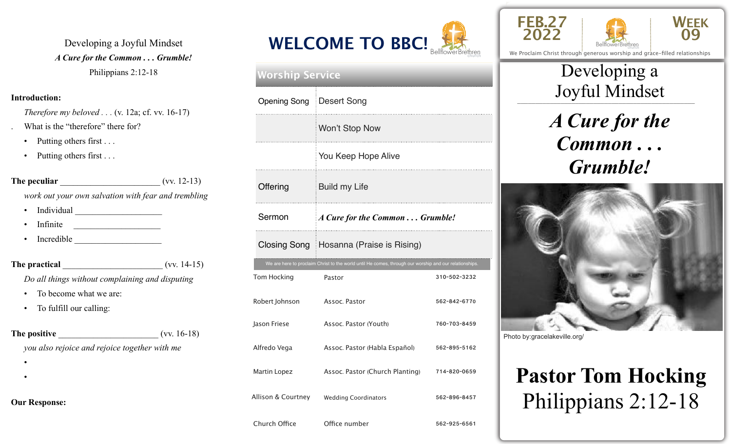Developing a Joyful Mindset *A Cure for the Common . . . Grumble!*  Philippians 2:12-18

#### **Introduction:**

*Therefore my beloved . . . (v. 12a; cf. vv. 16-17)* What is the "therefore" there for?

- Putting others first . . .
- Putting others first . . .

| The peculiar                                        |  | $(vv. 12-13)$ |
|-----------------------------------------------------|--|---------------|
| work out your own salvation with fear and trembling |  |               |

- Individual \_\_\_\_\_\_\_\_\_\_\_\_\_\_\_\_\_\_\_\_
- Infinite
- Incredible **Latter and Theorem**

**The practical** \_\_\_\_\_\_\_\_\_\_\_\_\_\_\_\_\_\_\_\_\_\_\_ (vv. 14-15) *Do all things without complaining and disputing* 

- To become what we are:
- To fulfill our calling:

| The positive                                  | $(vv. 16-18)$ |
|-----------------------------------------------|---------------|
| you also rejoice and rejoice together with me |               |
|                                               |               |
|                                               |               |

**Our Response:**



## Tom Hocking Pastor **Pastor** 310-502-3232 Robert Johnson Assoc. Pastor 662-842-6770 Jason Friese Assoc. Pastor (Youth) 760-703-8459 Alfredo Vega Assoc. Pastor (Habla Español) 562-895-5162 Martin Lopez **Assoc. Pastor (Church Planting)** 714-820-0659 Allison & Courtney Wedding Coordinators 562-896-8457 We are here to proclaim Christ to the world until He comes, through our worship and our relationships. **Worship Service** Opening Song Desert Song Won't Stop Now You Keep Hope Alive Offering **Build my Life** Sermon *A Cure for the Common* ... *Grumble!* Closing Song Hosanna (Praise is Rising)

Church Office **Office number** 562-925-6561





We Proclaim Christ through generous worship and grace-filled relationships

### \_\_\_\_\_\_\_\_\_\_\_\_\_\_\_\_\_\_\_\_\_\_\_\_\_\_\_\_\_\_\_\_\_\_\_\_\_\_\_\_\_\_\_\_\_\_\_\_\_ Joyful Mindset Developing a

## *A Cure for the Common . . . Grumble!*



Photo by:gracelakeville.org/

# **Pastor Tom Hocking** Philippians 2:12-18